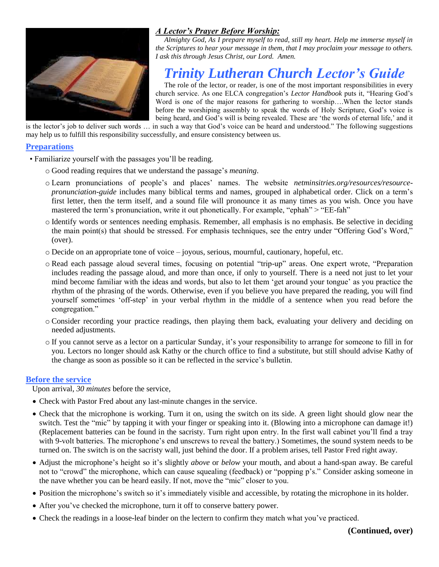

# *A Lector's Prayer Before Worship:*

*Almighty God, As I prepare myself to read, still my heart. Help me immerse myself in the Scriptures to hear your message in them, that I may proclaim your message to others. I ask this through Jesus Christ, our Lord. Amen.*

# *Trinity Lutheran Church Lector's Guide*

The role of the lector, or reader, is one of the most important responsibilities in every church service. As one ELCA congregation's *Lector Handbook* puts it, "Hearing God's Word is one of the major reasons for gathering to worship....When the lector stands before the worshiping assembly to speak the words of Holy Scripture, God's voice is being heard, and God's will is being revealed. These are 'the words of eternal life,' and it

is the lector's job to deliver such words … in such a way that God's voice can be heard and understood." The following suggestions may help us to fulfill this responsibility successfully, and ensure consistency between us.

### **Preparations**

- Familiarize yourself with the passages you'll be reading.
	- o Good reading requires that we understand the passage's *meaning*.
	- o Learn pronunciations of people's and places' names. The website *netminsitries.org/resources/resourcepronunciation-guide* includes many biblical terms and names, grouped in alphabetical order. Click on a term's first letter, then the term itself, and a sound file will pronounce it as many times as you wish. Once you have mastered the term's pronunciation, write it out phonetically. For example, "ephah" > "EE-fah"
	- o Identify words or sentences needing emphasis. Remember, all emphasis is no emphasis. Be selective in deciding the main point(s) that should be stressed. For emphasis techniques, see the entry under "Offering God's Word," (over).
	- o Decide on an appropriate tone of voice joyous, serious, mournful, cautionary, hopeful, etc.
	- o Read each passage aloud several times, focusing on potential "trip-up" areas. One expert wrote, "Preparation includes reading the passage aloud, and more than once, if only to yourself. There is a need not just to let your mind become familiar with the ideas and words, but also to let them 'get around your tongue' as you practice the rhythm of the phrasing of the words. Otherwise, even if you believe you have prepared the reading, you will find yourself sometimes 'off-step' in your verbal rhythm in the middle of a sentence when you read before the congregation."
	- o Consider recording your practice readings, then playing them back, evaluating your delivery and deciding on needed adjustments.
	- o If you cannot serve as a lector on a particular Sunday, it's your responsibility to arrange for someone to fill in for you. Lectors no longer should ask Kathy or the church office to find a substitute, but still should advise Kathy of the change as soon as possible so it can be reflected in the service's bulletin.

#### **Before the service**

Upon arrival, *30 minutes* before the service,

- Check with Pastor Fred about any last-minute changes in the service.
- Check that the microphone is working. Turn it on, using the switch on its side. A green light should glow near the switch. Test the "mic" by tapping it with your finger or speaking into it. (Blowing into a microphone can damage it!) (Replacement batteries can be found in the sacristy. Turn right upon entry. In the first wall cabinet you'll find a tray with 9-volt batteries. The microphone's end unscrews to reveal the battery.) Sometimes, the sound system needs to be turned on. The switch is on the sacristy wall, just behind the door. If a problem arises, tell Pastor Fred right away.
- Adjust the microphone's height so it's slightly *above* or *below* your mouth, and about a hand-span away. Be careful not to "crowd" the microphone, which can cause squealing (feedback) or "popping p's." Consider asking someone in the nave whether you can be heard easily. If not, move the "mic" closer to you.
- Position the microphone's switch so it's immediately visible and accessible, by rotating the microphone in its holder.
- After you've checked the microphone, turn it off to conserve battery power.
- Check the readings in a loose-leaf binder on the lectern to confirm they match what you've practiced.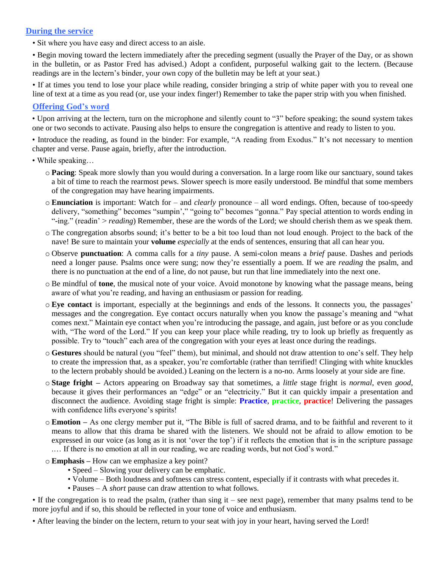# **During the service**

• Sit where you have easy and direct access to an aisle.

• Begin moving toward the lectern immediately after the preceding segment (usually the Prayer of the Day, or as shown in the bulletin, or as Pastor Fred has advised.) Adopt a confident, purposeful walking gait to the lectern. (Because readings are in the lectern's binder, your own copy of the bulletin may be left at your seat.)

• If at times you tend to lose your place while reading, consider bringing a strip of white paper with you to reveal one line of text at a time as you read (or, use your index finger!) Remember to take the paper strip with you when finished.

#### **Offering God's word**

• Upon arriving at the lectern, turn on the microphone and silently count to "3" before speaking; the sound system takes one or two seconds to activate. Pausing also helps to ensure the congregation is attentive and ready to listen to you.

• Introduce the reading, as found in the binder: For example, "A reading from Exodus." It's not necessary to mention chapter and verse. Pause again, briefly, after the introduction.

• While speaking…

- o **Pacing**: Speak more slowly than you would during a conversation. In a large room like our sanctuary, sound takes a bit of time to reach the rearmost pews. Slower speech is more easily understood. Be mindful that some members of the congregation may have hearing impairments.
- o **Enunciation** is important: Watch for and *clearly* pronounce all word endings. Often, because of too-speedy delivery, "something" becomes "sumpin'," "going to" becomes "gonna." Pay special attention to words ending in "-ing." (readin' > *reading*) Remember, these are the words of the Lord; we should cherish them as we speak them.
- o The congregation absorbs sound; it's better to be a bit too loud than not loud enough. Project to the back of the nave! Be sure to maintain your **volume** *especially* at the ends of sentences, ensuring that all can hear you.
- o Observe **punctuation**: A comma calls for a *tiny* pause. A semi-colon means a *brief* pause. Dashes and periods need a longer pause. Psalms once were sung; now they're essentially a poem. If we are *reading* the psalm, and there is no punctuation at the end of a line, do not pause, but run that line immediately into the next one.
- o Be mindful of **tone**, the musical note of your voice. Avoid monotone by knowing what the passage means, being aware of what you're reading, and having an enthusiasm or passion for reading.
- o **Eye contact** is important, especially at the beginnings and ends of the lessons. It connects you, the passages' messages and the congregation. Eye contact occurs naturally when you know the passage's meaning and "what comes next." Maintain eye contact when you're introducing the passage, and again, just before or as you conclude with, "The word of the Lord." If you can keep your place while reading, try to look up briefly as frequently as possible. Try to "touch" each area of the congregation with your eyes at least once during the readings.
- o **Gestures** should be natural (you "feel" them), but minimal, and should not draw attention to one's self. They help to create the impression that, as a speaker, you're comfortable (rather than terrified! Clinging with white knuckles to the lectern probably should be avoided.) Leaning on the lectern is a no-no. Arms loosely at your side are fine.
- o **Stage fright –** Actors appearing on Broadway say that sometimes*,* a *little* stage fright is *normal*, even *good*, because it gives their performances an "edge" or an "electricity." But it can quickly impair a presentation and disconnect the audience. Avoiding stage fright is simple: **Practice**, **practice**, **practice**! Delivering the passages with confidence lifts everyone's spirits!
- o **Emotion –** As one clergy member put it, "The Bible is full of sacred drama, and to be faithful and reverent to it means to allow that this drama be shared with the listeners. We should not be afraid to allow emotion to be expressed in our voice (as long as it is not 'over the top') if it reflects the emotion that is in the scripture passage .… If there is no emotion at all in our reading, we are reading words, but not God's word."
- o **Emphasis –** How can we emphasize a key point?
	- Speed Slowing your delivery can be emphatic.
	- Volume Both loudness and softness can stress content, especially if it contrasts with what precedes it.
	- Pauses A *short* pause can draw attention to what follows.

• If the congregation is to read the psalm, (rather than sing it – see next page), remember that many psalms tend to be more joyful and if so, this should be reflected in your tone of voice and enthusiasm.

• After leaving the binder on the lectern, return to your seat with joy in your heart, having served the Lord!